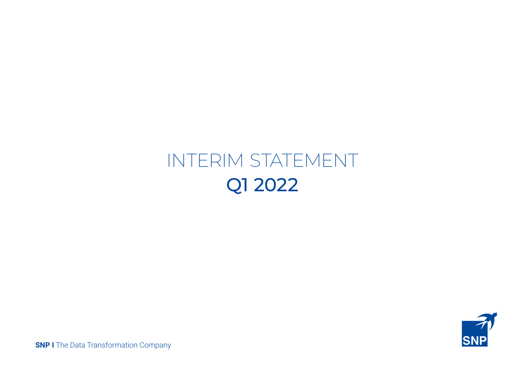# INTERIM STATEMENT Q1 2022



**SNP I** The Data Transformation Company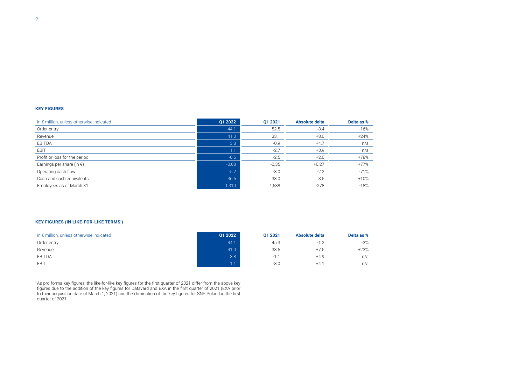#### **KEY FIGURES**

| in € million, unless otherwise indicated | Q1 2022 | 01 2021 | <b>Absolute delta</b> | Delta as % |
|------------------------------------------|---------|---------|-----------------------|------------|
| Order entry                              | 44.1    | 52.5    | $-8.4$                | $-16%$     |
| Revenue                                  | 41.0    | 33.1    | $+8.0$                | $+24%$     |
| EBITDA                                   | 3.8     | $-0.9$  | $+4.7$                | n/a        |
| EBIT                                     | 1.1     | $-2.7$  | $+3.9$                | n/a        |
| Profit or loss for the period            | $-0.6$  | $-2.5$  | $+2.0$                | +78%       |
| Earnings per share (in $\epsilon$ )      | $-0.08$ | $-0.35$ | $+0.27$               | $+77%$     |
| Operating cash flow                      | $-5.2$  | $-3.0$  | $-2.2$                | $-71%$     |
| Cash and cash equivalents                | 36.5    | 33.0    | 3.5                   | $+10%$     |
| Employees as of March 31                 | 1,310   | 1,588   | $-278$                | $-18%$     |

#### **KEY FIGURES (IN LIKE-FOR-LIKE TERMS\* )**

| in $\epsilon$ million, unless otherwise indicated | 01 2022          | 01 2021 | Absolute delta | Delta as % |
|---------------------------------------------------|------------------|---------|----------------|------------|
| Order entry                                       | 44.1             | 45.3    |                | $-3%$      |
| Revenue                                           | 41.0             | 33.5    | $+7.5$         | $+23%$     |
| EBITDA                                            | 3.8 <sub>1</sub> |         | $+4.9$         | n/a        |
| EBIT                                              |                  | $-3.0$  | $+4.$          | n/a        |

\* As pro forma key figures, the like-for-like key figures for the first quarter of 2021 differ from the above key figures due to the addition of the key figures for Datavard and EXA in the first quarter of 2021 (EXA prior to their acquisition date of March 1, 2021) and the elimination of the key figures for SNP Poland in the first quarter of 2021.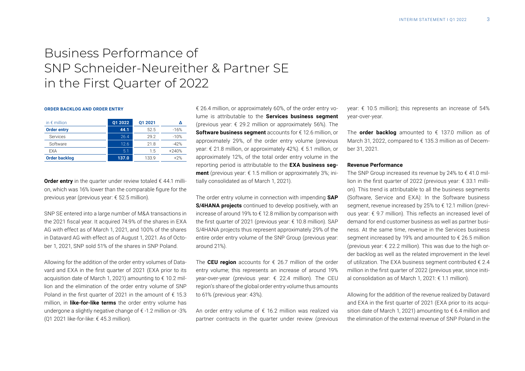# Business Performance of SNP Schneider-Neureither & Partner SE in the First Quarter of 2022

#### **ORDER BACKLOG AND ORDER ENTRY**

| in $\epsilon$ million | Q1 2022 | 01 2021 |         |
|-----------------------|---------|---------|---------|
| <b>Order entry</b>    | 44.1    | 52.5    | $-16%$  |
| <b>Services</b>       | 26.4    | 29.2    | $-10%$  |
| Software              | 12.6    | 21.8    | $-42%$  |
| <b>FXA</b>            | 5.1     | 1.5     | $+240%$ |
| <b>Order backlog</b>  | 137.0   | 133.9   | $+2%$   |

**Order entry** in the quarter under review totaled  $\epsilon$  44.1 million, which was 16% lower than the comparable figure for the previous year (previous year: € 52.5 million).

SNP SE entered into a large number of M&A transactions in the 2021 fiscal year. It acquired 74.9% of the shares in EXA AG with effect as of March 1, 2021, and 100% of the shares in Datavard AG with effect as of August 1, 2021. As of October 1, 2021, SNP sold 51% of the shares in SNP Poland.

Allowing for the addition of the order entry volumes of Datavard and EXA in the first quarter of 2021 (EXA prior to its acquisition date of March 1, 2021) amounting to € 10.2 million and the elimination of the order entry volume of SNP Poland in the first quarter of 2021 in the amount of  $\epsilon$  15.3 million, in **like-for-like terms** the order entry volume has undergone a slightly negative change of  $\epsilon$  -1.2 million or -3% (Q1 2021 like-for-like: € 45.3 million).

€ 26.4 million, or approximately 60%, of the order entry volume is attributable to the **Services business segment** (previous year:  $\epsilon$  29.2 million or approximately 56%). The **Software business segment** accounts for € 12.6 million, or approximately 29%, of the order entry volume (previous year: € 21.8 million, or approximately 42%). € 5.1 million, or approximately 12%, of the total order entry volume in the reporting period is attributable to the **EXA business segment** (previous year: € 1.5 million or approximately 3%; initially consolidated as of March 1, 2021).

The order entry volume in connection with impending **SAP S/4HANA projects** continued to develop positively, with an increase of around 19% to € 12.8 million by comparison with the first quarter of 2021 (previous year: € 10.8 million). SAP S/4HANA projects thus represent approximately 29% of the entire order entry volume of the SNP Group (previous year: around 21%).

The **CEU region** accounts for € 26.7 million of the order entry volume; this represents an increase of around 19% year-over-year (previous year: € 22.4 million). The CEU region's share of the global order entry volume thus amounts to 61% (previous year: 43%).

An order entry volume of  $\epsilon$  16.2 million was realized via partner contracts in the quarter under review (previous

year: € 10.5 million); this represents an increase of 54% year-over-year.

The **order backlog** amounted to  $\epsilon$  137.0 million as of March 31, 2022, compared to € 135.3 million as of December 31, 2021.

#### **Revenue Performance**

The SNP Group increased its revenue by 24% to  $\epsilon$  41.0 million in the first quarter of 2022 (previous year: € 33.1 million). This trend is attributable to all the business segments (Software, Service and EXA): In the Software business segment, revenue increased by 25% to € 12.1 million (previous year: € 9.7 million). This reflects an increased level of demand for end customer business as well as partner business. At the same time, revenue in the Services business segment increased by 19% and amounted to € 26.5 million (previous year:  $\epsilon$  22.2 million). This was due to the high order backlog as well as the related improvement in the level of utilization. The EXA business segment contributed € 2.4 million in the first quarter of 2022 (previous year, since initial consolidation as of March 1, 2021: € 1.1 million).

Allowing for the addition of the revenue realized by Datavard and EXA in the first quarter of 2021 (EXA prior to its acquisition date of March 1, 2021) amounting to € 6.4 million and the elimination of the external revenue of SNP Poland in the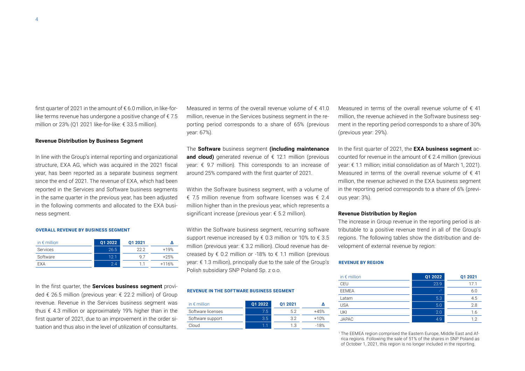$\Delta$ 

first quarter of 2021 in the amount of  $\epsilon$  6.0 million, in like-forlike terms revenue has undergone a positive change of  $\epsilon$  7.5 million or 23% (Q1 2021 like-for-like: € 33.5 million).

# **Revenue Distribution by Business Segment**

In line with the Group's internal reporting and organizational structure, EXA AG, which was acquired in the 2021 fiscal year, has been reported as a separate business segment since the end of 2021. The revenue of EXA, which had been reported in the Services and Software business segments in the same quarter in the previous year, has been adjusted in the following comments and allocated to the EXA business segment.

#### **OVERALL REVENUE BY BUSINESS SEGMENT**

| in $\epsilon$ million | 01 2022 | 01 2021 |         |
|-----------------------|---------|---------|---------|
| Services              | 26.5    | 22.2    | $+19%$  |
| Software              | 12.1    | 9 7     | $+25%$  |
| <b>FXA</b>            | 24      |         | $+116%$ |

In the first quarter, the **Services business segment** provided € 26.5 million (previous year: € 22.2 million) of Group revenue. Revenue in the Services business segment was thus  $\epsilon$  4.3 million or approximately 19% higher than in the first quarter of 2021, due to an improvement in the order situation and thus also in the level of utilization of consultants.

Measured in terms of the overall revenue volume of  $\epsilon$  41.0 million, revenue in the Services business segment in the reporting period corresponds to a share of 65% (previous year: 67%).

The **Software** business segment **(including maintenance and cloud)** generated revenue of  $\epsilon$  12.1 million (previous year: € 9.7 million). This corresponds to an increase of around 25% compared with the first quarter of 2021.

Within the Software business segment, with a volume of € 7.5 million revenue from software licenses was € 2.4 million higher than in the previous year, which represents a significant increase (previous year: € 5.2 million).

Within the Software business segment, recurring software support revenue increased by  $\epsilon$  0.3 million or 10% to  $\epsilon$  3.5 million (previous year: € 3.2 million). Cloud revenue has de-velopment of external revenue by region: in € million **Q1 2022 Q1 2021 <sup>∆</sup>** creased by  $\epsilon$  0.2 million or -18% to  $\epsilon$  1.1 million (previous year: € 1.3 million), principally due to the sale of the Group's Polish subsidiary SNP Poland Sp. z o.o.

#### **REVENUE IN THE SOFTWARE BUSINESS SEGMENT**

| in $\epsilon$ million | 01 2022 | 01 2021 |        |
|-----------------------|---------|---------|--------|
| Software licenses     | 7.5     | 52      | +45%   |
| Software support      | 3.5     | 37      | $+10%$ |
| Cloud                 | 11      | 13      | $-18%$ |

Measured in terms of the overall revenue volume of  $\epsilon$  41 million, the revenue achieved in the Software business segment in the reporting period corresponds to a share of 30% (previous year: 29%).

In the first quarter of 2021, the **EXA business segment** accounted for revenue in the amount of € 2.4 million (previous year: € 1.1 million; initial consolidation as of March 1, 2021). Measured in terms of the overall revenue volume of  $\epsilon$  41 million, the revenue achieved in the EXA business segment in the reporting period corresponds to a share of 6% (previous year: 3%).

#### **Revenue Distribution by Region**

The increase in Group revenue in the reporting period is attributable to a positive revenue trend in all of the Group's regions. The following tables show the distribution and de-

#### **REVENUE BY REGION**

| in $\epsilon$ million | Q1 2022      | Q1 2021 |
|-----------------------|--------------|---------|
| CEU                   | 23.9         | 17.1    |
| <b>EEMEA</b>          | $\mathbf{I}$ | 6.0     |
| Latam                 | 5.3          | 4.5     |
| USA                   | 5.0          | 2.8     |
| UKI                   | 2.0          | 1.6     |
| <b>JAPAC</b>          | 4.9          | 1.2     |
|                       |              |         |

<sup>1</sup> The EEMEA region comprised the Eastern Europe, Middle East and Africa regions. Following the sale of 51% of the shares in SNP Poland as of October 1, 2021, this region is no longer included in the reporting.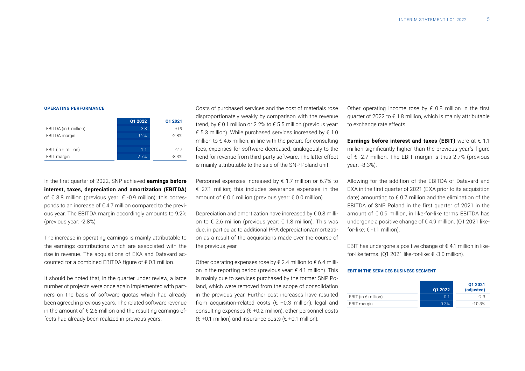#### **OPERATING PERFORMANCE**

|                                | Q1 2022 | Q1 2021 |
|--------------------------------|---------|---------|
| EBITDA (in $\epsilon$ million) | 3.8     | $-09$   |
| EBITDA margin                  | 9.2%    | $-2.8%$ |
|                                |         |         |
| EBIT (in $\epsilon$ million)   | 11      | -27     |
| EBIT margin                    | 2.7%    | $-8.3%$ |

In the first quarter of 2022, SNP achieved **earnings before interest, taxes, depreciation and amortization (EBITDA)**  of € 3.8 million (previous year: € -0.9 million); this corresponds to an increase of € 4.7 million compared to the previous year. The EBITDA margin accordingly amounts to 9.2% (previous year: -2.8%).

The increase in operating earnings is mainly attributable to the earnings contributions which are associated with the rise in revenue. The acquisitions of EXA and Datavard accounted for a combined EBITDA figure of  $\epsilon$  0.1 million.

It should be noted that, in the quarter under review, a large number of projects were once again implemented with partners on the basis of software quotas which had already been agreed in previous years. The related software revenue in the amount of  $\epsilon$  2.6 million and the resulting earnings effects had already been realized in previous years.

Costs of purchased services and the cost of materials rose disproportionately weakly by comparison with the revenue trend, by € 0.1 million or 2.2% to € 5.5 million (previous year: € 5.3 million). While purchased services increased by  $€ 1.0$ million to  $\epsilon$  4.6 million, in line with the picture for consulting fees, expenses for software decreased, analogously to the trend for revenue from third-party software. The latter effect is mainly attributable to the sale of the SNP Poland unit.

Personnel expenses increased by  $\epsilon$  1.7 million or 6.7% to € 27.1 million; this includes severance expenses in the amount of  $\epsilon$  0.6 million (previous year:  $\epsilon$  0.0 million).

Depreciation and amortization have increased by  $\epsilon$  0.8 million to € 2.6 million (previous year: € 1.8 million). This was due, in particular, to additional PPA depreciation/amortization as a result of the acquisitions made over the course of the previous year.

Other operating expenses rose by  $\xi$  2.4 million to  $\xi$  6.4 million in the reporting period (previous year: € 4.1 million). This is mainly due to services purchased by the former SNP Poland, which were removed from the scope of consolidation in the previous year. Further cost increases have resulted from acquisition-related costs ( $\epsilon$  +0.3 million), legal and consulting expenses ( $\epsilon$  +0.2 million), other personnel costs (€ +0.1 million) and insurance costs (€ +0.1 million).

Other operating income rose by  $\epsilon$  0.8 million in the first quarter of 2022 to € 1.8 million, which is mainly attributable to exchange rate effects.

**Earnings before interest and taxes (EBIT)** were at € 1.1 million significantly higher than the previous year's figure of € -2.7 million. The EBIT margin is thus 2.7% (previous year: -8.3%).

Allowing for the addition of the EBITDA of Datavard and EXA in the first quarter of 2021 (EXA prior to its acquisition date) amounting to  $\epsilon$  0.7 million and the elimination of the EBITDA of SNP Poland in the first quarter of 2021 in the amount of € 0.9 million, in like-for-like terms EBITDA has undergone a positive change of € 4.9 million. (Q1 2021 likefor-like:  $\epsilon$  -1.1 million).

EBIT has undergone a positive change of  $\epsilon$  4.1 million in likefor-like terms. (Q1 2021 like-for-like: € -3.0 million).

#### **EBIT IN THE SERVICES BUSINESS SEGMENT**

|                              | Q1 2022 | Q1 2021<br>(adjusted) |
|------------------------------|---------|-----------------------|
| EBIT (in $\epsilon$ million) | 0.1     | -23                   |
| EBIT margin                  | 0.3%    | $-10.3%$              |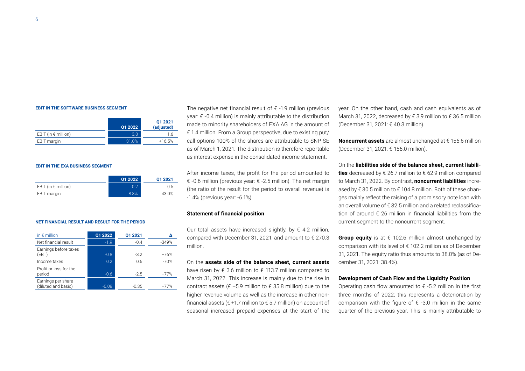#### **EBIT IN THE SOFTWARE BUSINESS SEGMENT**

|                              | 01 2022 | Q1 2021<br>(adjusted) |
|------------------------------|---------|-----------------------|
| EBIT (in $\epsilon$ million) | 3.8     | 1.6                   |
| EBIT margin                  | 31.0%   | $+16.5%$              |

#### **EBIT IN THE EXA BUSINESS SEGMENT**

|                              | 01 2022 | 01 2021 |
|------------------------------|---------|---------|
| EBIT (in $\epsilon$ million) | 0.2     | 0.5     |
| EBIT margin                  | 8.8%    | 43.0%   |

#### **NET FINANCIAL RESULT AND RESULT FOR THE PERIOD**

| in $\epsilon$ million                     | 01 2022 | 01 2021 |         |
|-------------------------------------------|---------|---------|---------|
| Net financial result                      | $-1.9$  | $-0.4$  | $-349%$ |
| Earnings before taxes<br>(EBT)            | $-0.8$  | $-3.2$  | $+76%$  |
| Income taxes                              | 0.2     | 0.6     | $-70%$  |
| Profit or loss for the<br>period          | $-0.6$  | $-2.5$  | $+77%$  |
| Earnings per share<br>(diluted and basic) | $-0.08$ | $-0.35$ | $+77%$  |

The negative net financial result of  $\epsilon$  -1.9 million (previous year: € -0.4 million) is mainly attributable to the distribution made to minority shareholders of EXA AG in the amount of € 1.4 million. From a Group perspective, due to existing put/ call options 100% of the shares are attributable to SNP SE as of March 1, 2021. The distribution is therefore reportable as interest expense in the consolidated income statement.

After income taxes, the profit for the period amounted to € -0.6 million (previous year: € -2.5 million). The net margin (the ratio of the result for the period to overall revenue) is -1.4% (previous year: -6.1%).

#### **Statement of financial position**

Our total assets have increased slightly, by  $\epsilon$  4.2 million, compared with December 31, 2021, and amount to € 270.3 million.

On the **assets side of the balance sheet, current assets** have risen by € 3.6 million to € 113.7 million compared to March 31, 2022. This increase is mainly due to the rise in contract assets ( $\epsilon$  +5.9 million to  $\epsilon$  35.8 million) due to the higher revenue volume as well as the increase in other nonfinancial assets ( $\epsilon$  +1.7 million to  $\epsilon$  5.7 million) on account of seasonal increased prepaid expenses at the start of the year. On the other hand, cash and cash equivalents as of March 31, 2022, decreased by € 3.9 million to € 36.5 million (December 31, 2021: € 40.3 million).

**Noncurrent assets** are almost unchanged at € 156.6 million (December 31, 2021: € 156.0 million).

On the **liabilities side of the balance sheet, current liabilities** decreased by € 26.7 million to € 62.9 million compared to March 31, 2022. By contrast, **noncurrent liabilities** increased by € 30.5 million to € 104.8 million. Both of these changes mainly reflect the raising of a promissory note loan with an overall volume of € 32.5 million and a related reclassification of around € 26 million in financial liabilities from the current segment to the noncurrent segment.

**Group equity** is at  $\epsilon$  102.6 million almost unchanged by comparison with its level of € 102.2 million as of December 31, 2021. The equity ratio thus amounts to 38.0% (as of December 31, 2021: 38.4%).

#### **Development of Cash Flow and the Liquidity Position**

Operating cash flow amounted to  $\epsilon$  -5.2 million in the first three months of 2022; this represents a deterioration by comparison with the figure of  $\epsilon$  -3.0 million in the same quarter of the previous year. This is mainly attributable to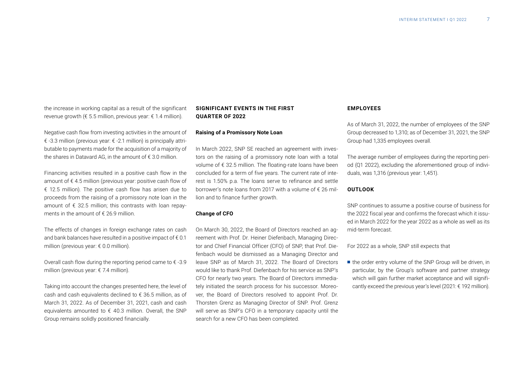the increase in working capital as a result of the significant revenue growth ( $\epsilon$  5.5 million, previous year:  $\epsilon$  1.4 million).

Negative cash flow from investing activities in the amount of € -3.3 million (previous year: € -2.1 million) is principally attributable to payments made for the acquisition of a majority of the shares in Datavard AG, in the amount of  $\epsilon$  3.0 million.

Financing activities resulted in a positive cash flow in the amount of € 4.5 million (previous year: positive cash flow of € 12.5 million). The positive cash flow has arisen due to proceeds from the raising of a promissory note loan in the amount of  $\epsilon$  32.5 million; this contrasts with loan repayments in the amount of  $\epsilon$  26.9 million.

The effects of changes in foreign exchange rates on cash and bank balances have resulted in a positive impact of  $\epsilon$  0.1 million (previous year: € 0.0 million).

Overall cash flow during the reporting period came to  $\epsilon$  -3.9 million (previous year: € 7.4 million).

Taking into account the changes presented here, the level of cash and cash equivalents declined to € 36.5 million, as of March 31, 2022. As of December 31, 2021, cash and cash equivalents amounted to  $\epsilon$  40.3 million. Overall, the SNP Group remains solidly positioned financially.

# **SIGNIFICANT EVENTS IN THE FIRST QUARTER OF 2022**

#### **Raising of a Promissory Note Loan**

In March 2022, SNP SE reached an agreement with investors on the raising of a promissory note loan with a total volume of € 32.5 million. The floating-rate loans have been concluded for a term of five years. The current rate of interest is 1.50% p.a. The loans serve to refinance and settle borrower's note loans from 2017 with a volume of  $\epsilon$  26 million and to finance further growth.

#### **Change of CFO**

On March 30, 2022, the Board of Directors reached an agreement with Prof. Dr. Heiner Diefenbach, Managing Director and Chief Financial Officer (CFO) of SNP, that Prof. Diefenbach would be dismissed as a Managing Director and leave SNP as of March 31, 2022. The Board of Directors would like to thank Prof. Diefenbach for his service as SNP's CFO for nearly two years. The Board of Directors immediately initiated the search process for his successor. Moreover, the Board of Directors resolved to appoint Prof. Dr. Thorsten Grenz as Managing Director of SNP. Prof. Grenz will serve as SNP's CFO in a temporary capacity until the search for a new CFO has been completed.

#### **EMPLOYEES**

As of March 31, 2022, the number of employees of the SNP Group decreased to 1,310; as of December 31, 2021, the SNP Group had 1,335 employees overall.

The average number of employees during the reporting period (Q1 2022), excluding the aforementioned group of individuals, was 1,316 (previous year: 1,451).

### **OUTLOOK**

SNP continues to assume a positive course of business for the 2022 fiscal year and confirms the forecast which it issued in March 2022 for the year 2022 as a whole as well as its mid-term forecast.

For 2022 as a whole, SNP still expects that

■ the order entry volume of the SNP Group will be driven, in particular, by the Group's software and partner strategy which will gain further market acceptance and will significantly exceed the previous year's level (2021: € 192 million).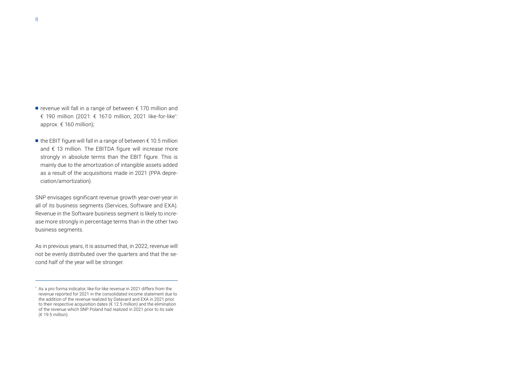- revenue will fall in a range of between € 170 million and € 190 million (2021: € 167.0 million; 2021 like-for-like\* : approx. € 160 million);
- $\blacksquare$  the EBIT figure will fall in a range of between  $\epsilon$  10.5 million and € 13 million. The EBITDA figure will increase more strongly in absolute terms than the EBIT figure. This is mainly due to the amortization of intangible assets added as a result of the acquisitions made in 2021 (PPA depreciation/amortization).

SNP envisages significant revenue growth year-over-year in all of its business segments (Services, Software and EXA). Revenue in the Software business segment is likely to increase more strongly in percentage terms than in the other two business segments.

As in previous years, it is assumed that, in 2022, revenue will not be evenly distributed over the quarters and that the second half of the year will be stronger.

<sup>\*</sup> As a pro forma indicator, like-for-like revenue in 2021 differs from the revenue reported for 2021 in the consolidated income statement due to the addition of the revenue realized by Datavard and EXA in 2021 prior to their respective acquisition dates (€ 12.5 million) and the elimination of the revenue which SNP Poland had realized in 2021 prior to its sale (€ 19.5 million).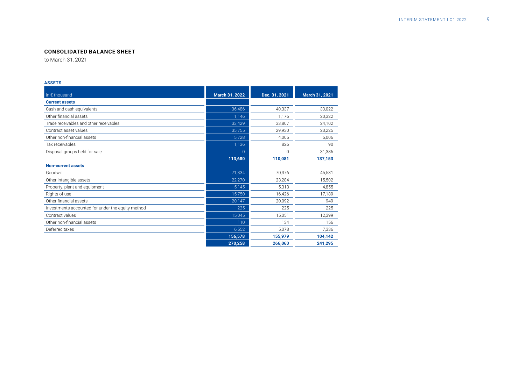# **CONSOLIDATED BALANCE SHEET**

to March 31, 2021

#### **ASSETS**

| in € thousand                                     | March 31, 2022 | Dec. 31, 2021 | March 31, 2021 |
|---------------------------------------------------|----------------|---------------|----------------|
| <b>Current assets</b>                             |                |               |                |
| Cash and cash equivalents                         | 36,486         | 40,337        | 33,022         |
| Other financial assets                            | 1,146          | 1.176         | 20,322         |
| Trade receivables and other receivables           | 33,429         | 33,807        | 24,102         |
| Contract asset values                             | 35,755         | 29.930        | 23,225         |
| Other non-financial assets                        | 5,728          | 4,005         | 5,006          |
| Tax receivables                                   | 1,136          | 826           | 90             |
| Disposal groups held for sale                     | $\Omega$       | 0             | 31,386         |
|                                                   | 113,680        | 110,081       | 137,153        |
| <b>Non-current assets</b>                         |                |               |                |
| Goodwill                                          | 71,334         | 70,376        | 45,531         |
| Other intangible assets                           | 22,270         | 23,284        | 15,502         |
| Property, plant and equipment                     | 5,145          | 5,313         | 4,855          |
| Rights of use                                     | 15,750         | 16,426        | 17,189         |
| Other financial assets                            | 20,147         | 20,092        | 949            |
| Investments accounted for under the equity method | 225            | 225           | 225            |
| Contract values                                   | 15,045         | 15,051        | 12,399         |
| Other non-financial assets                        | 110            | 134           | 156            |
| Deferred taxes                                    | 6,552          | 5,078         | 7,336          |
|                                                   | 156,578        | 155,979       | 104,142        |
|                                                   | 270,258        | 266,060       | 241,295        |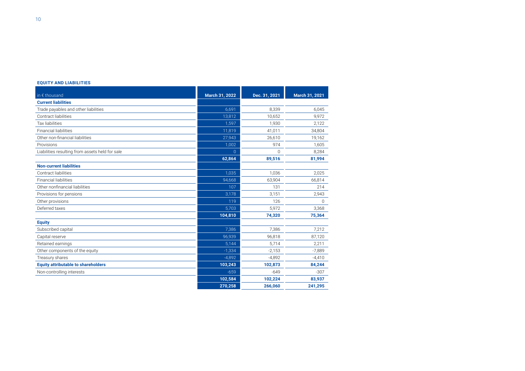#### **EQUITY AND LIABILITIES**

| in € thousand                                   | March 31, 2022 | Dec. 31, 2021 | March 31, 2021 |
|-------------------------------------------------|----------------|---------------|----------------|
| <b>Current liabilities</b>                      |                |               |                |
| Trade payables and other liabilities            | 6,691          | 8,339         | 6,045          |
| Contract liabilities                            | 13,812         | 10,652        | 9,972          |
| <b>Tax liabilities</b>                          | 1,597          | 1,930         | 2.122          |
| <b>Financial liabilities</b>                    | 11,819         | 41,011        | 34,804         |
| Other non-financial liabilities                 | 27,943         | 26,610        | 19,162         |
| Provisions                                      | 1,002          | 974           | 1,605          |
| Liabilities resulting from assets held for sale | $\Omega$       | 0             | 8,284          |
|                                                 | 62,864         | 89,516        | 81,994         |
| <b>Non-current liabilities</b>                  |                |               |                |
| Contract liabilities                            | 1,035          | 1,036         | 2,025          |
| <b>Financial liabilities</b>                    | 94,668         | 63,904        | 66,814         |
| Other nonfinancial liabilities                  | 107            | 131           | 214            |
| Provisions for pensions                         | 3,178          | 3,151         | 2,943          |
| Other provisions                                | 119            | 126           | $\Omega$       |
| Deferred taxes                                  | 5,703          | 5,972         | 3,368          |
|                                                 | 104,810        | 74,320        | 75,364         |
| <b>Equity</b>                                   |                |               |                |
| Subscribed capital                              | 7,386          | 7,386         | 7,212          |
| Capital reserve                                 | 96,939         | 96.818        | 87,120         |
| Retained earnings                               | 5,144          | 5,714         | 2,211          |
| Other components of the equity                  | $-1,334$       | $-2,153$      | $-7,889$       |
| Treasury shares                                 | $-4,892$       | $-4.892$      | $-4,410$       |
| <b>Equity attributable to shareholders</b>      | 103,243        | 102,873       | 84,244         |
| Non-controlling interests                       | $-659$         | $-649$        | $-307$         |
|                                                 | 102,584        | 102,224       | 83,937         |
|                                                 | 270,258        | 266.060       | 241,295        |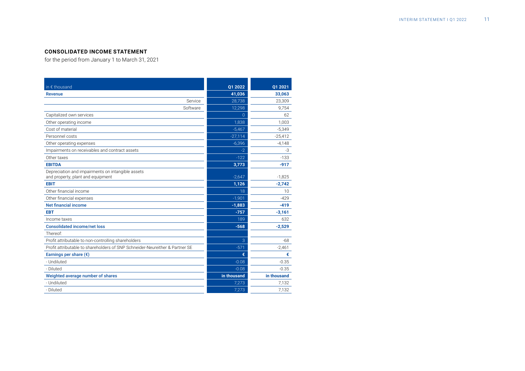# **CONSOLIDATED INCOME STATEMENT**

for the period from January 1 to March 31, 2021

| in € thousand                                                                          | Q1 2022     | Q1 2021     |
|----------------------------------------------------------------------------------------|-------------|-------------|
| Revenue                                                                                | 41,036      | 33,063      |
| Service                                                                                | 28,738      | 23,309      |
| Software                                                                               | 12,298      | 9.754       |
| Capitalized own services                                                               | $\Omega$    | 62          |
| Other operating income                                                                 | 1,838       | 1,003       |
| Cost of material                                                                       | $-5,467$    | $-5,349$    |
| Personnel costs                                                                        | $-27,114$   | $-25,412$   |
| Other operating expenses                                                               | $-6,396$    | $-4,148$    |
| Impairments on receivables and contract assets                                         | -2          | -3          |
| Other taxes                                                                            | $-122$      | $-133$      |
| <b>EBITDA</b>                                                                          | 3,773       | $-917$      |
| Depreciation and impairments on intangible assets<br>and property, plant and equipment | $-2,647$    | $-1,825$    |
| <b>EBIT</b>                                                                            | 1,126       | $-2,742$    |
| Other financial income                                                                 | 18          | 10          |
| Other financial expenses                                                               | $-1,901$    | $-429$      |
| Net financial income                                                                   | $-1,883$    | $-419$      |
| <b>EBT</b>                                                                             | $-757$      | $-3,161$    |
| Income taxes                                                                           | 189         | 632         |
| <b>Consolidated income/net loss</b>                                                    | $-568$      | $-2,529$    |
| Thereof:                                                                               |             |             |
| Profit attributable to non-controlling shareholders                                    | 3           | $-68$       |
| Profit attributable to shareholders of SNP Schneider-Neureither & Partner SE           | $-571$      | $-2,461$    |
| Earnings per share $(\epsilon)$                                                        | €           | €           |
| - Undiluted                                                                            | $-0.08$     | $-0.35$     |
| - Diluted                                                                              | $-0.08$     | $-0.35$     |
| Weighted average number of shares                                                      | in thousand | in thousand |
| - Undiluted                                                                            | 7,273       | 7,132       |
| - Diluted                                                                              | 7,273       | 7,132       |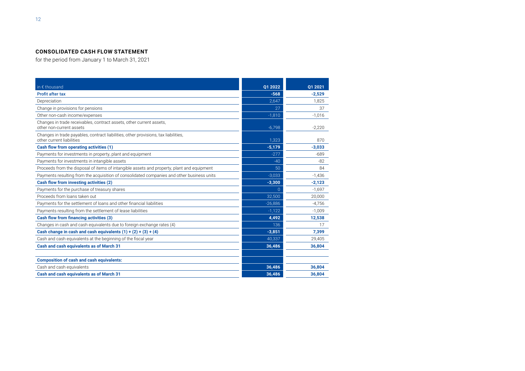# **CONSOLIDATED CASH FLOW STATEMENT**

for the period from January 1 to March 31, 2021

| in € thousand                                                                                                    | Q1 2022   | 01 2021  |
|------------------------------------------------------------------------------------------------------------------|-----------|----------|
| <b>Profit after tax</b>                                                                                          | $-568$    | $-2,529$ |
| Depreciation                                                                                                     | 2,647     | 1,825    |
| Change in provisions for pensions                                                                                | 27        | 37       |
| Other non-cash income/expenses                                                                                   | $-1,810$  | $-1,016$ |
| Changes in trade receivables, contract assets, other current assets,<br>other non-current assets                 | $-6,798$  | $-2,220$ |
| Changes in trade payables, contract liabilities, other provisions, tax liabilities,<br>other current liabilities | 1,323     | 870      |
| Cash flow from operating activities (1)                                                                          | $-5,179$  | $-3,033$ |
| Payments for investments in property, plant and equipment                                                        | $-277$    | $-689$   |
| Payments for investments in intangible assets                                                                    | $-40$     | $-82$    |
| Proceeds from the disposal of items of intangible assets and property, plant and equipment                       | 50        | 84       |
| Payments resulting from the acquisition of consolidated companies and other business units                       | $-3,033$  | $-1,436$ |
| Cash flow from investing activities (2)                                                                          | $-3,300$  | $-2,123$ |
| Payments for the purchase of treasury shares                                                                     | $\Omega$  | $-1,697$ |
| Proceeds from loans taken out                                                                                    | 32,500    | 20,000   |
| Payments for the settlement of loans and other financial liabilities                                             | $-26,886$ | $-4,756$ |
| Payments resulting from the settlement of lease liabilities                                                      | $-1,122$  | $-1,009$ |
| Cash flow from financing activities (3)                                                                          | 4,492     | 12,538   |
| Changes in cash and cash equivalents due to foreign exchange rates (4)                                           | 136       | 17       |
| Cash change in cash and cash equivalents $(1) + (2) + (3) + (4)$                                                 | $-3,851$  | 7,399    |
| Cash and cash equivalents at the beginning of the fiscal year                                                    | 40,337    | 29,405   |
| Cash and cash equivalents as of March 31                                                                         | 36,486    | 36,804   |
| <b>Composition of cash and cash equivalents:</b>                                                                 |           |          |
| Cash and cash equivalents                                                                                        | 36,486    | 36,804   |
| Cash and cash equivalents as of March 31                                                                         | 36.486    | 36.804   |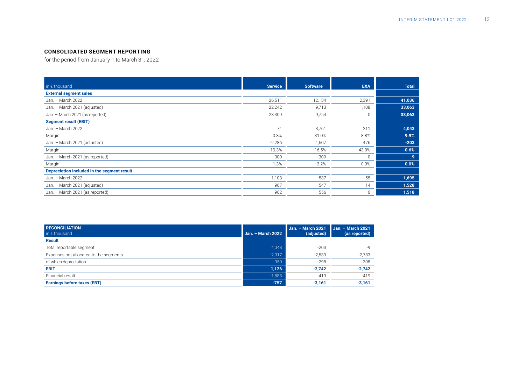# **CONSOLIDATED SEGMENT REPORTING**

for the period from January 1 to March 31, 2022

| in $\epsilon$ thousand                      | <b>Service</b> | <b>Software</b> | <b>EXA</b>  | <b>Total</b> |
|---------------------------------------------|----------------|-----------------|-------------|--------------|
| <b>External segment sales</b>               |                |                 |             |              |
| Jan. - March 2022                           | 26,511         | 12,134          | 2,391       | 41,036       |
| Jan. - March 2021 (adjusted)                | 22,242         | 9,713           | 1,108       | 33,063       |
| Jan. - March 2021 (as reported)             | 23,309         | 9,754           | $\mathbf 0$ | 33,063       |
| <b>Segment result (EBIT)</b>                |                |                 |             |              |
| Jan. - March 2022                           | 71             | 3,761           | 211         | 4,043        |
| Margin                                      | 0.3%           | 31.0%           | 8.8%        | 9.9%         |
| Jan. - March 2021 (adjusted)                | $-2,286$       | 1,607           | 476         | $-203$       |
| Margin                                      | $-10.3%$       | 16.5%           | 43.0%       | $-0.6%$      |
| Jan. - March 2021 (as reported)             | 300            | $-309$          | $\mathbf 0$ | $-9$         |
| Margin                                      | 1.3%           | $-3.2%$         | 0.0%        | 0.0%         |
| Depreciation included in the segment result |                |                 |             |              |
| Jan. - March 2022                           | 1,103          | 537             | 55          | 1,695        |
| Jan. - March 2021 (adjusted)                | 967            | 547             | 14          | 1,528        |
| Jan. - March 2021 (as reported)             | 962            | 556             | $\mathbf 0$ | 1,518        |

| <b>RECONCILIATION</b><br>in $\epsilon$ thousand | Jan. - March 2022 | <b>Jan. - March 2021</b><br>(adjusted) | Jan. - March 2021<br>(as reported) |
|-------------------------------------------------|-------------------|----------------------------------------|------------------------------------|
| <b>Result</b>                                   |                   |                                        |                                    |
| Total reportable segment                        | 4,043             | $-203$                                 |                                    |
| Expenses not allocated to the segments          | $-2,917$          | $-2,539$                               | $-2,733$                           |
| of which depreciation                           | $-950$            | $-298$                                 | $-308$                             |
| <b>EBIT</b>                                     | 1,126             | $-2,742$                               | $-2,742$                           |
| Financial result                                | $-1,883$          | $-419$                                 | $-419$                             |
| <b>Earnings before taxes (EBT)</b>              | $-757$            | $-3,161$                               | $-3,161$                           |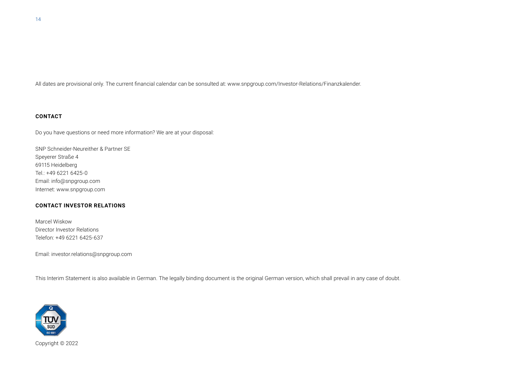All dates are provisional only. The current financial calendar can be sonsulted at: www.snpgroup.com/Investor-Relations/Finanzkalender.

# **CONTACT**

Do you have questions or need more information? We are at your disposal:

SNP Schneider-Neureither & Partner SE Speyerer Straße 4 69115 Heidelberg Tel.: +49 6221 6425-0 Email: info@snpgroup.com Internet: www.snpgroup.com

#### **CONTACT INVESTOR RELATIONS**

Marcel Wiskow Director Investor Relations Telefon: +49 6221 6425-637

Email: investor.relations@snpgroup.com

This Interim Statement is also available in German. The legally binding document is the original German version, which shall prevail in any case of doubt.



Copyright © 2022